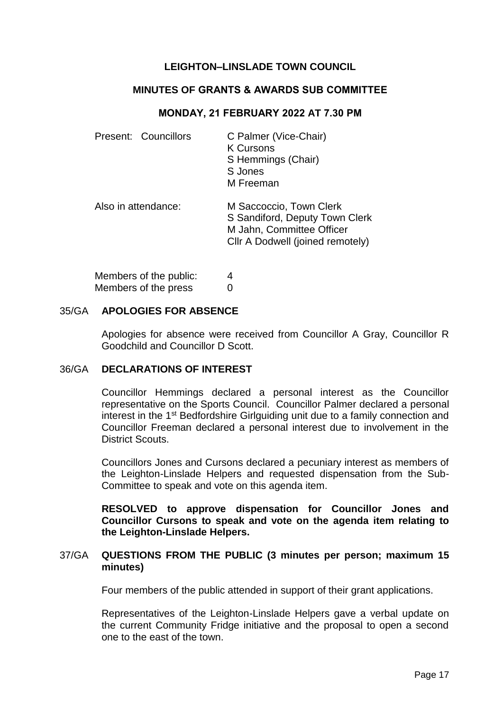# **LEIGHTON–LINSLADE TOWN COUNCIL**

## **MINUTES OF GRANTS & AWARDS SUB COMMITTEE**

## **MONDAY, 21 FEBRUARY 2022 AT 7.30 PM**

| Present: Councillors | C Palmer (Vice-Chair)<br><b>K Cursons</b><br>S Hemmings (Chair)<br>S Jones<br>M Freeman                                    |
|----------------------|----------------------------------------------------------------------------------------------------------------------------|
| Also in attendance:  | M Saccoccio, Town Clerk<br>S Sandiford, Deputy Town Clerk<br>M Jahn, Committee Officer<br>Cllr A Dodwell (joined remotely) |

| Members of the public: | 4 |
|------------------------|---|
| Members of the press   | 0 |

### 35/GA **APOLOGIES FOR ABSENCE**

Apologies for absence were received from Councillor A Gray, Councillor R Goodchild and Councillor D Scott.

#### 36/GA **DECLARATIONS OF INTEREST**

Councillor Hemmings declared a personal interest as the Councillor representative on the Sports Council. Councillor Palmer declared a personal interest in the 1st Bedfordshire Girlguiding unit due to a family connection and Councillor Freeman declared a personal interest due to involvement in the District Scouts.

Councillors Jones and Cursons declared a pecuniary interest as members of the Leighton-Linslade Helpers and requested dispensation from the Sub-Committee to speak and vote on this agenda item.

**RESOLVED to approve dispensation for Councillor Jones and Councillor Cursons to speak and vote on the agenda item relating to the Leighton-Linslade Helpers.**

### 37/GA **QUESTIONS FROM THE PUBLIC (3 minutes per person; maximum 15 minutes)**

Four members of the public attended in support of their grant applications.

Representatives of the Leighton-Linslade Helpers gave a verbal update on the current Community Fridge initiative and the proposal to open a second one to the east of the town.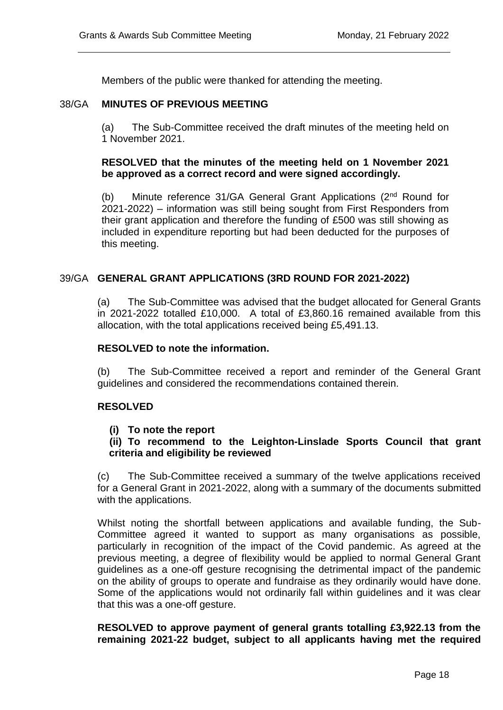Members of the public were thanked for attending the meeting.

### 38/GA **MINUTES OF PREVIOUS MEETING**

(a) The Sub-Committee received the draft minutes of the meeting held on 1 November 2021.

## **RESOLVED that the minutes of the meeting held on 1 November 2021 be approved as a correct record and were signed accordingly.**

(b) Minute reference 31/GA General Grant Applications (2nd Round for 2021-2022) – information was still being sought from First Responders from their grant application and therefore the funding of £500 was still showing as included in expenditure reporting but had been deducted for the purposes of this meeting.

### 39/GA **GENERAL GRANT APPLICATIONS (3RD ROUND FOR 2021-2022)**

(a) The Sub-Committee was advised that the budget allocated for General Grants in 2021-2022 totalled £10,000. A total of £3,860.16 remained available from this allocation, with the total applications received being £5,491.13.

#### **RESOLVED to note the information.**

(b) The Sub-Committee received a report and reminder of the General Grant guidelines and considered the recommendations contained therein.

#### **RESOLVED**

#### **(i) To note the report**

# **(ii) To recommend to the Leighton-Linslade Sports Council that grant criteria and eligibility be reviewed**

(c) The Sub-Committee received a summary of the twelve applications received for a General Grant in 2021-2022, along with a summary of the documents submitted with the applications.

Whilst noting the shortfall between applications and available funding, the Sub-Committee agreed it wanted to support as many organisations as possible, particularly in recognition of the impact of the Covid pandemic. As agreed at the previous meeting, a degree of flexibility would be applied to normal General Grant guidelines as a one-off gesture recognising the detrimental impact of the pandemic on the ability of groups to operate and fundraise as they ordinarily would have done. Some of the applications would not ordinarily fall within guidelines and it was clear that this was a one-off gesture.

**RESOLVED to approve payment of general grants totalling £3,922.13 from the remaining 2021-22 budget, subject to all applicants having met the required**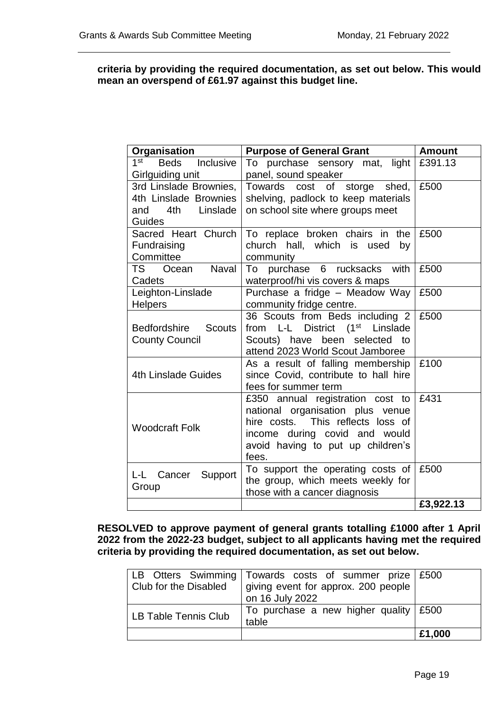## **criteria by providing the required documentation, as set out below. This would mean an overspend of £61.97 against this budget line.**

| Organisation                                                                     | <b>Purpose of General Grant</b>                                                                                                                                                          | <b>Amount</b> |
|----------------------------------------------------------------------------------|------------------------------------------------------------------------------------------------------------------------------------------------------------------------------------------|---------------|
| 1 <sup>st</sup><br>Beds Inclusive<br>Girlguiding unit                            | To purchase sensory mat, light<br>panel, sound speaker                                                                                                                                   | £391.13       |
| 3rd Linslade Brownies,<br>4th Linslade Brownies<br>4th Linslade<br>and<br>Guides | Towards cost of storge shed,<br>shelving, padlock to keep materials<br>on school site where groups meet                                                                                  | £500          |
| Sacred Heart Church<br>Fundraising<br>Committee                                  | To replace broken chairs in the<br>church hall, which is used<br>by<br>community                                                                                                         | £500          |
| Ocean Naval<br>TS F<br>Cadets                                                    | To purchase 6 rucksacks with<br>waterproof/hi vis covers & maps                                                                                                                          | £500          |
| Leighton-Linslade<br><b>Helpers</b>                                              | Purchase a fridge - Meadow Way<br>community fridge centre.                                                                                                                               | £500          |
| Bedfordshire Scouts<br><b>County Council</b>                                     | 36 Scouts from Beds including 2<br>from L-L District (1 <sup>st</sup> Linslade<br>Scouts) have been selected<br>to<br>attend 2023 World Scout Jamboree                                   | £500          |
| 4th Linslade Guides                                                              | As a result of falling membership<br>since Covid, contribute to hall hire<br>fees for summer term                                                                                        | £100          |
| <b>Woodcraft Folk</b>                                                            | £350 annual registration cost to<br>national organisation plus venue<br>hire costs. This reflects loss of<br>income during covid and would<br>avoid having to put up children's<br>fees. | £431          |
| L-L Cancer Support<br>Group                                                      | To support the operating costs of<br>the group, which meets weekly for<br>those with a cancer diagnosis                                                                                  | £500          |
|                                                                                  |                                                                                                                                                                                          | £3,922.13     |

**RESOLVED to approve payment of general grants totalling £1000 after 1 April 2022 from the 2022-23 budget, subject to all applicants having met the required criteria by providing the required documentation, as set out below.** 

|                              | LB Otters Swimming Towards costs of summer prize £500 |        |
|------------------------------|-------------------------------------------------------|--------|
| <b>Club for the Disabled</b> | giving event for approx. 200 people                   |        |
|                              | on 16 July 2022                                       |        |
| LB Table Tennis Club         | To purchase a new higher quality $\frac{1500}{1500}$  |        |
|                              | table                                                 |        |
|                              |                                                       | £1,000 |